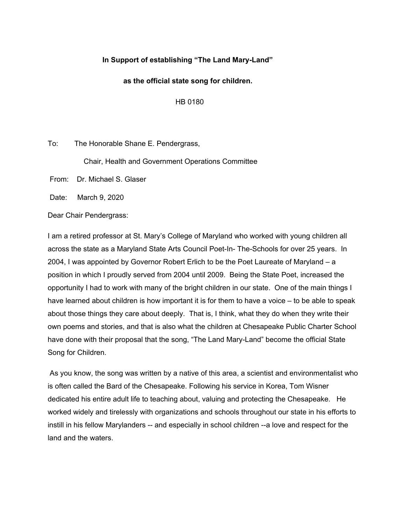### **In Support of establishing "The Land Mary-Land"**

#### **as the official state song for children.**

HB 0180

To: The Honorable Shane E. Pendergrass,

Chair, Health and Government Operations Committee

From: Dr. Michael S. Glaser

Date: March 9, 2020

Dear Chair Pendergrass:

I am a retired professor at St. Mary's College of Maryland who worked with young children all across the state as a Maryland State Arts Council Poet-In- The-Schools for over 25 years. In 2004, I was appointed by Governor Robert Erlich to be the Poet Laureate of Maryland – a position in which I proudly served from 2004 until 2009. Being the State Poet, increased the opportunity I had to work with many of the bright children in our state. One of the main things I have learned about children is how important it is for them to have a voice – to be able to speak about those things they care about deeply. That is, I think, what they do when they write their own poems and stories, and that is also what the children at Chesapeake Public Charter School have done with their proposal that the song, "The Land Mary-Land" become the official State Song for Children.

As you know, the song was written by a native of this area, a scientist and environmentalist who is often called the Bard of the Chesapeake. Following his service in Korea, Tom Wisner dedicated his entire adult life to teaching about, valuing and protecting the Chesapeake. He worked widely and tirelessly with organizations and schools throughout our state in his efforts to instill in his fellow Marylanders -- and especially in school children --a love and respect for the land and the waters.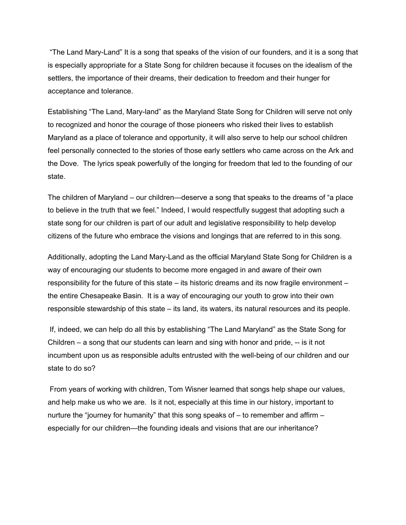"The Land Mary-Land" It is a song that speaks of the vision of our founders, and it is a song that is especially appropriate for a State Song for children because it focuses on the idealism of the settlers, the importance of their dreams, their dedication to freedom and their hunger for acceptance and tolerance.

Establishing "The Land, Mary-land" as the Maryland State Song for Children will serve not only to recognized and honor the courage of those pioneers who risked their lives to establish Maryland as a place of tolerance and opportunity, it will also serve to help our school children feel personally connected to the stories of those early settlers who came across on the Ark and the Dove. The lyrics speak powerfully of the longing for freedom that led to the founding of our state.

The children of Maryland – our children—deserve a song that speaks to the dreams of "a place to believe in the truth that we feel." Indeed, I would respectfully suggest that adopting such a state song for our children is part of our adult and legislative responsibility to help develop citizens of the future who embrace the visions and longings that are referred to in this song.

Additionally, adopting the Land Mary-Land as the official Maryland State Song for Children is a way of encouraging our students to become more engaged in and aware of their own responsibility for the future of this state – its historic dreams and its now fragile environment – the entire Chesapeake Basin. It is a way of encouraging our youth to grow into their own responsible stewardship of this state – its land, its waters, its natural resources and its people.

If, indeed, we can help do all this by establishing "The Land Maryland" as the State Song for Children – a song that our students can learn and sing with honor and pride, -- is it not incumbent upon us as responsible adults entrusted with the well-being of our children and our state to do so?

From years of working with children, Tom Wisner learned that songs help shape our values, and help make us who we are. Is it not, especially at this time in our history, important to nurture the "journey for humanity" that this song speaks of – to remember and affirm – especially for our children—the founding ideals and visions that are our inheritance?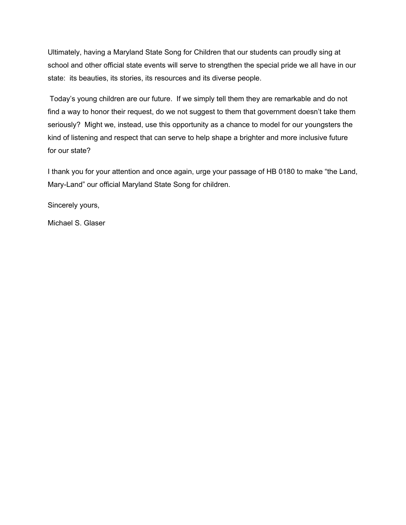Ultimately, having a Maryland State Song for Children that our students can proudly sing at school and other official state events will serve to strengthen the special pride we all have in our state: its beauties, its stories, its resources and its diverse people.

Today's young children are our future. If we simply tell them they are remarkable and do not find a way to honor their request, do we not suggest to them that government doesn't take them seriously? Might we, instead, use this opportunity as a chance to model for our youngsters the kind of listening and respect that can serve to help shape a brighter and more inclusive future for our state?

I thank you for your attention and once again, urge your passage of HB 0180 to make "the Land, Mary-Land" our official Maryland State Song for children.

Sincerely yours,

Michael S. Glaser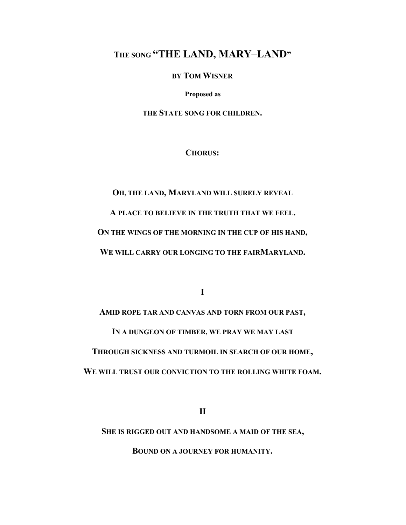# **THE SONG "THE LAND, MARY–LAND"**

**BY TOM WISNER**

**Proposed as**

**THE STATE SONG FOR CHILDREN.**

**CHORUS:**

**OH, THE LAND, MARYLAND WILL SURELY REVEAL A PLACE TO BELIEVE IN THE TRUTH THAT WE FEEL. ON THE WINGS OF THE MORNING IN THE CUP OF HIS HAND, WE WILL CARRY OUR LONGING TO THE FAIRMARYLAND.**

**I**

**AMID ROPE TAR AND CANVAS AND TORN FROM OUR PAST, IN A DUNGEON OF TIMBER, WE PRAY WE MAY LAST THROUGH SICKNESS AND TURMOIL IN SEARCH OF OUR HOME, WE WILL TRUST OUR CONVICTION TO THE ROLLING WHITE FOAM.**

**II**

**SHE IS RIGGED OUT AND HANDSOME A MAID OF THE SEA,**

**BOUND ON A JOURNEY FOR HUMANITY.**